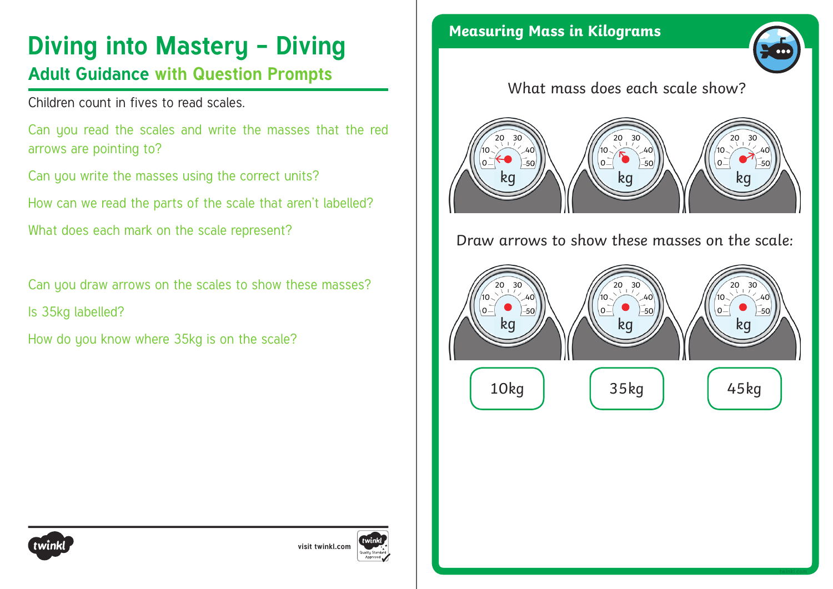### **Diving into Mastery - Diving**

### **Adult Guidance with Question Prompts**

Children count in fives to read scales.

Can you read the scales and write the masses that the red arrows are pointing to?

Can you write the masses using the correct units?

How can we read the parts of the scale that aren't labelled?

What does each mark on the scale represent?

Can you draw arrows on the scales to show these masses? Is 35kg labelled?

How do you know where 35kg is on the scale?

**Measuring Mass in Kilograms**



#### What mass does each scale show?



#### Draw arrows to show these masses on the scale:





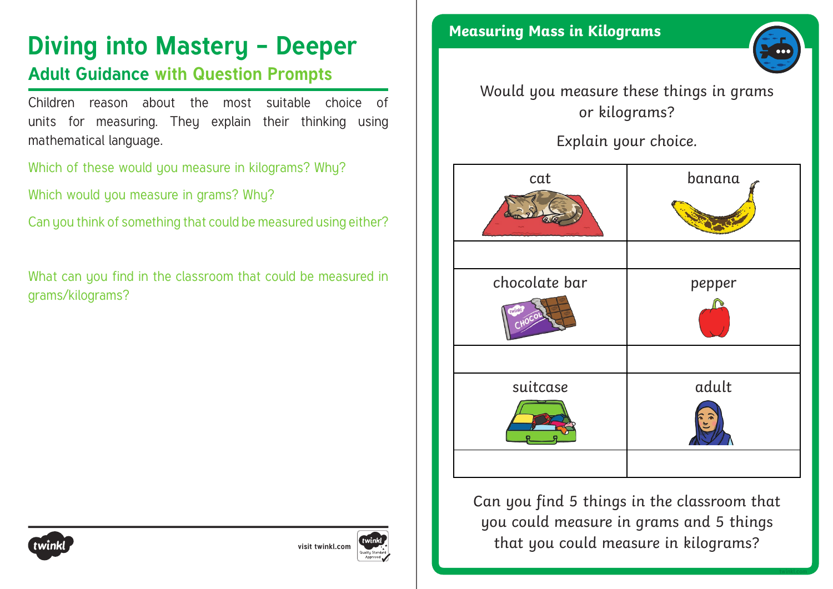# **Diving into Mastery - Deeper** Measuring Mass in Kilograms

#### **Adult Guidance with Question Prompts**

Children reason about the most suitable choice of units for measuring. They explain their thinking using mathematical language.

Which of these would you measure in kilograms? Why?

Which would you measure in grams? Why?

Can you think of something that could be measured using either?

What can you find in the classroom that could be measured in grams/kilograms?





#### Would you measure these things in grams or kilograms?

Explain your choice.

| cat                     | banana |
|-------------------------|--------|
| chocolate bar<br>twinkl | pepper |
| suitcase                | adult  |

Can you find 5 things in the classroom that you could measure in grams and 5 things that you could measure in kilograms?